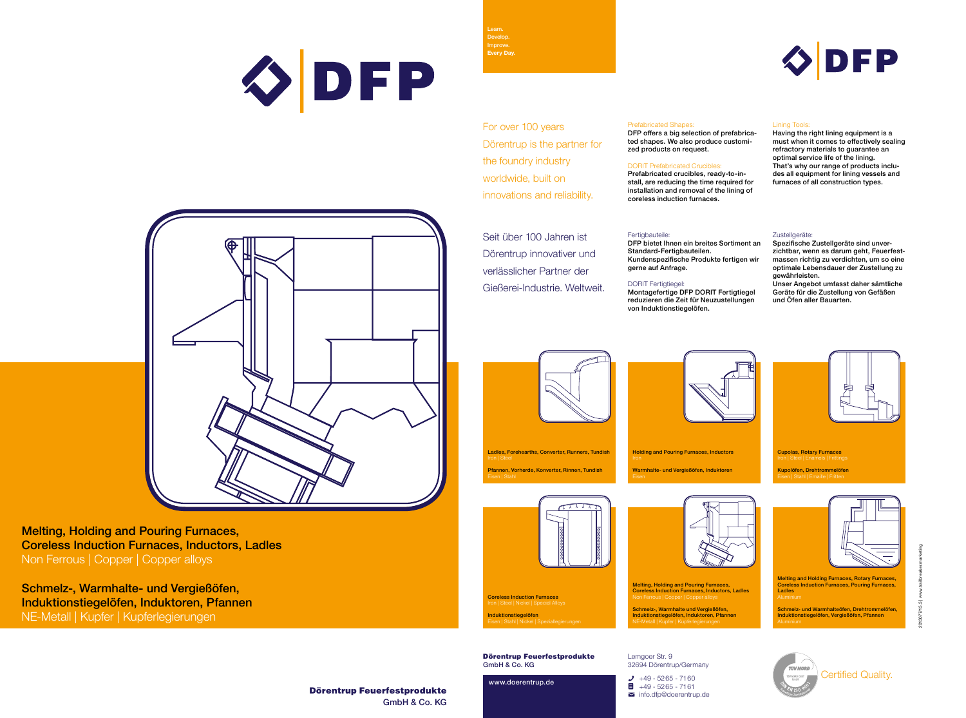



Melting, Holding and Pouring Furnaces, Coreless Induction Furnaces, Inductors, Ladles Non Ferrous | Copper | Copper alloys

Schmelz-, Warmhalte- und Vergießöfen, Induktionstiegelöfen, Induktoren, Pfannen NE-Metall | Kupfer | Kupferlegierungen

# Dörentrup Feuerfestprodukte GmbH & Co. KG

2015077/15.5 | www.trailbreaker.marketing



Dörentrup Feuerfestprodukte GmbH & Co. KG

www.doerentrup.de



Lemgoer Str. 9 32694 Dörentrup/Germany

 $\bigcup_{+49}$  - 5265 - 7160  $\blacksquare$  +49 - 5265 - 7161  $\equiv$  info.dfp@doerentrup.de

Learn. Develop.



Improve. **Every Day.**

Certified Quality.

Melting, Holding and Pouring Furnaces, Coreless Induction Furnaces, Inductors, Ladles

Coreless Induction Furnaces Iron | Steel | Nickel | Special Alloys **Induktionstiegelöfen**<br>Eisen | Stahl | Nickel | Speziallegierungen

Schmelz-, Warmhalte und Vergießöfen, Induktionstiegelöfen, Induktoren, Pfannen NE-Metall | Kupfer | Kupferlegierungen

Melting and Holding Furnaces, Rotary Furnaces, Coreless Induction Furnaces, Pouring Furnaces, Ladles

Schmelz- und Warmhalteöfen, Drehtrommelöfen, Induktionstiegelöfen, Vergießöfen, Pfannen



Holding and Pouring Furnaces, Inductors Warmhalte- und Vergießöfen, Induktoren

Ladles, Forehearths, Converter, Runners, Tundish Pfannen, Vorherde, Konverter, Rinnen, Tundish



For over 100 years Dörentrup is the partner for the foundry industry worldwide, built on innovations and reliability.

Prefabricated Shapes:

DFP offers a big selection of prefabricated shapes. We also produce customi-

zed products on request. DORIT Prefabricated Crucibles: Prefabricated crucibles, ready-to-install, are reducing the time required for installation and removal of the lining of

coreless induction furnaces.

## Lining Tools:

Having the right lining equipment is a must when it comes to effectively sealing refractory materials to guarantee an optimal service life of the lining. That's why our range of products includes all equipment for lining vessels and furnaces of all construction types.

### Zustellgeräte:

Seit über 100 Jahren ist Dörentrup innovativer und verlässlicher Partner der Gießerei-Industrie. Weltweit.



DFP bietet Ihnen ein breites Sortiment an

Standard-Fertigbauteilen.

Kundenspezifische Produkte fertigen wir

gerne auf Anfrage. DORIT Fertigtiegel:

Fertigbauteile:

Montagefertige DFP DORIT Fertigtiegel reduzieren die Zeit für Neuzustellungen



von Induktionstiegelöfen.

Spezifische Zustellgeräte sind unverzichtbar, wenn es darum geht, Feuerfestmassen richtig zu verdichten, um so eine optimale Lebensdauer der Zustellung zu gewährleisten.

Unser Angebot umfasst daher sämtliche Geräte für die Zustellung von Gefäßen und Öfen aller Bauarten.